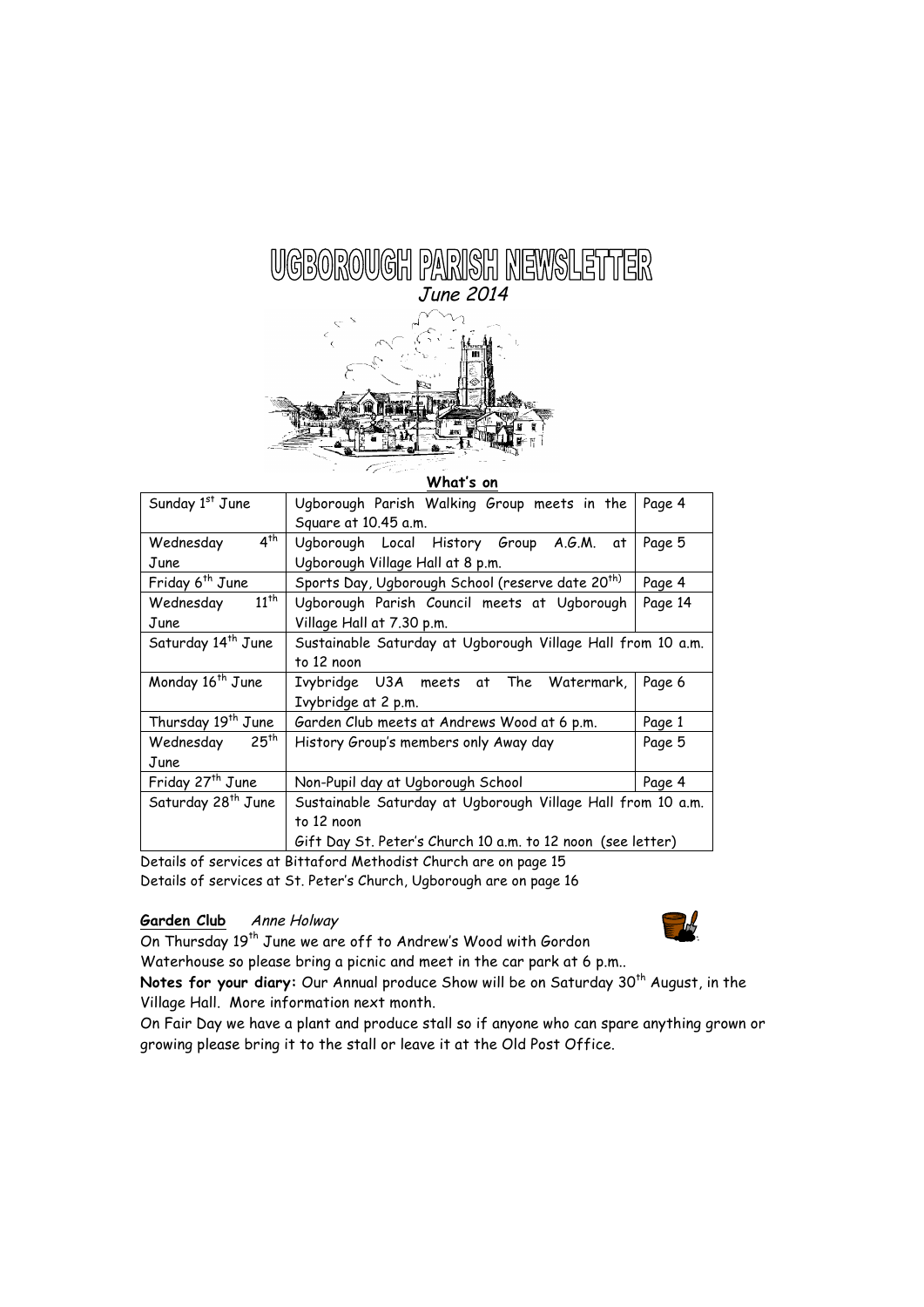# UGBOROUGH PARISH NEWSLETTER June 2014

#### **What's on**

| Sunday 1st June                | Ugborough Parish Walking Group meets in the                  | Page 4  |
|--------------------------------|--------------------------------------------------------------|---------|
|                                | Square at 10.45 a.m.                                         |         |
| $4^{th}$<br>Wednesday          | Ugborough Local History Group A.G.M. at                      | Page 5  |
| June                           | Ugborough Village Hall at 8 p.m.                             |         |
| Friday 6 <sup>th</sup> June    | Sports Day, Ugborough School (reserve date 20 <sup>th)</sup> | Page 4  |
| $11^{th}$<br>Wednesday         | Ugborough Parish Council meets at Ugborough                  | Page 14 |
| June                           | Village Hall at 7.30 p.m.                                    |         |
| Saturday 14 <sup>th</sup> June | Sustainable Saturday at Ugborough Village Hall from 10 a.m.  |         |
|                                | to 12 noon                                                   |         |
| Monday 16 <sup>th</sup> June   | Ivybridge U3A meets at The Watermark,                        | Page 6  |
|                                | Ivybridge at 2 p.m.                                          |         |
| Thursday 19 <sup>th</sup> June | Garden Club meets at Andrews Wood at 6 p.m.                  | Page 1  |
| 25 <sup>th</sup><br>Wednesday  | History Group's members only Away day                        | Page 5  |
| June                           |                                                              |         |
| Friday 27 <sup>th</sup> June   | Non-Pupil day at Ugborough School                            | Page 4  |
| Saturday 28 <sup>th</sup> June | Sustainable Saturday at Ugborough Village Hall from 10 a.m.  |         |
|                                | to 12 noon                                                   |         |
|                                | Gift Day St. Peter's Church 10 a.m. to 12 noon (see letter)  |         |

Details of services at Bittaford Methodist Church are on page 15 Details of services at St. Peter's Church, Ugborough are on page 16

# Garden Club Anne Holway



On Thursday 19<sup>th</sup> June we are off to Andrew's Wood with Gordon Waterhouse so please bring a picnic and meet in the car park at 6 p.m..

Notes for your diary: Our Annual produce Show will be on Saturday 30<sup>th</sup> August, in the Village Hall. More information next month.

On Fair Day we have a plant and produce stall so if anyone who can spare anything grown or growing please bring it to the stall or leave it at the Old Post Office.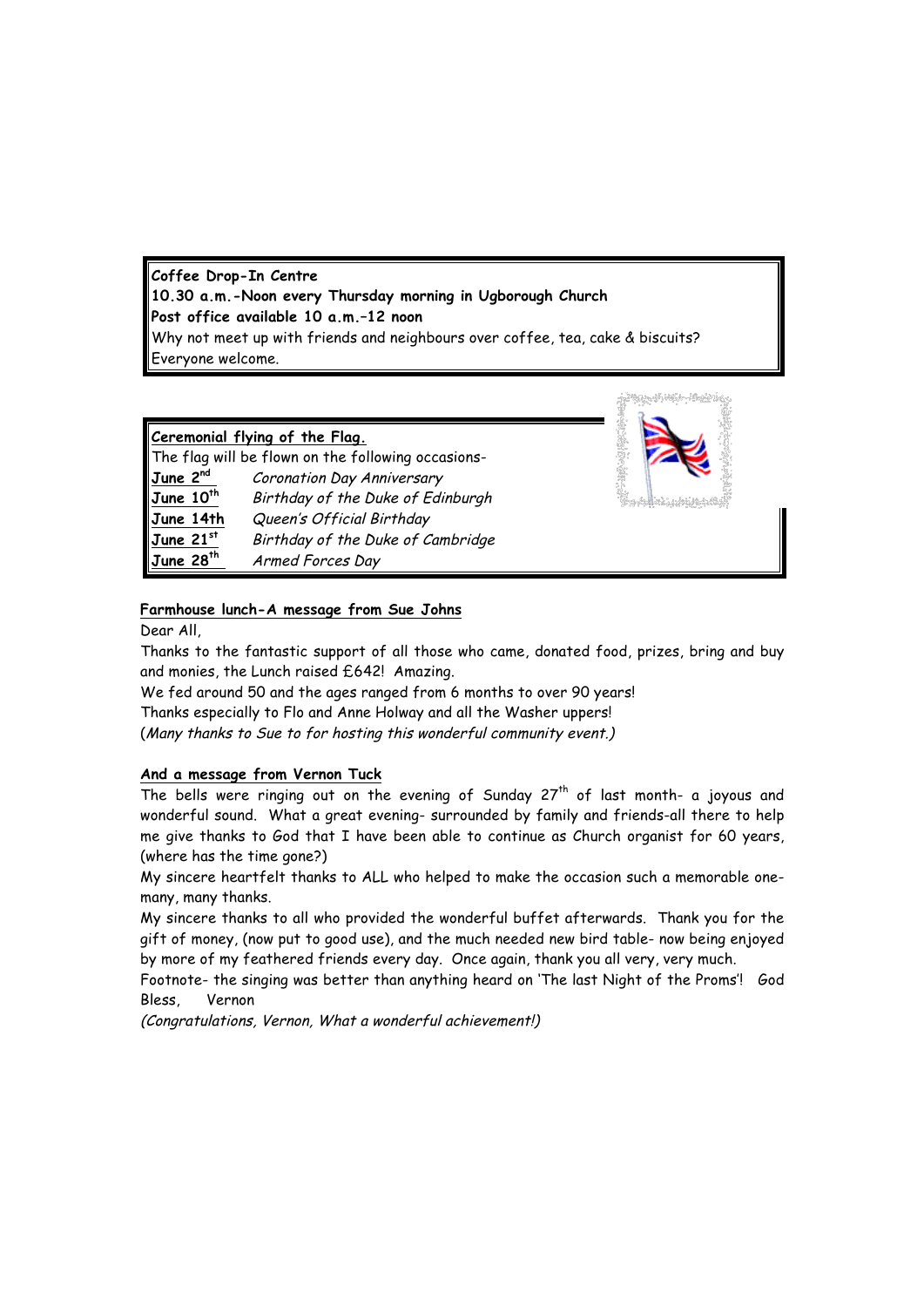**Coffee Drop-In Centre 10.30 a.m.-Noon every Thursday morning in Ugborough Church Post office available 10 a.m.–12 noon** Why not meet up with friends and neighbours over coffee, tea, cake & biscuits? Everyone welcome.

#### **Ceremonial flying of the Flag.**

|                       | The flag will be flown on the following occasions- |
|-----------------------|----------------------------------------------------|
| June 2 <sup>nd</sup>  | Coronation Day Anniversary                         |
| June 10 <sup>th</sup> | Birthday of the Duke of Edinburgh                  |
| June 14th             | Queen's Official Birthday                          |
| $June$ 21st           | Birthday of the Duke of Cambridge                  |
| June 28 <sup>th</sup> | Armed Forces Day                                   |



#### **Farmhouse lunch-A message from Sue Johns**

Dear All,

Thanks to the fantastic support of all those who came, donated food, prizes, bring and buy and monies, the Lunch raised £642! Amazing.

We fed around 50 and the ages ranged from 6 months to over 90 years!

Thanks especially to Flo and Anne Holway and all the Washer uppers!

(Many thanks to Sue to for hosting this wonderful community event.)

# **And a message from Vernon Tuck**

The bells were ringing out on the evening of Sunday  $27<sup>th</sup>$  of last month- a joyous and wonderful sound. What a great evening- surrounded by family and friends-all there to help me give thanks to God that I have been able to continue as Church organist for 60 years, (where has the time gone?)

My sincere heartfelt thanks to ALL who helped to make the occasion such a memorable onemany, many thanks.

My sincere thanks to all who provided the wonderful buffet afterwards. Thank you for the gift of money, (now put to good use), and the much needed new bird table- now being enjoyed by more of my feathered friends every day. Once again, thank you all very, very much.

Footnote- the singing was better than anything heard on 'The last Night of the Proms'! God Bless, Vernon

(Congratulations, Vernon, What a wonderful achievement!)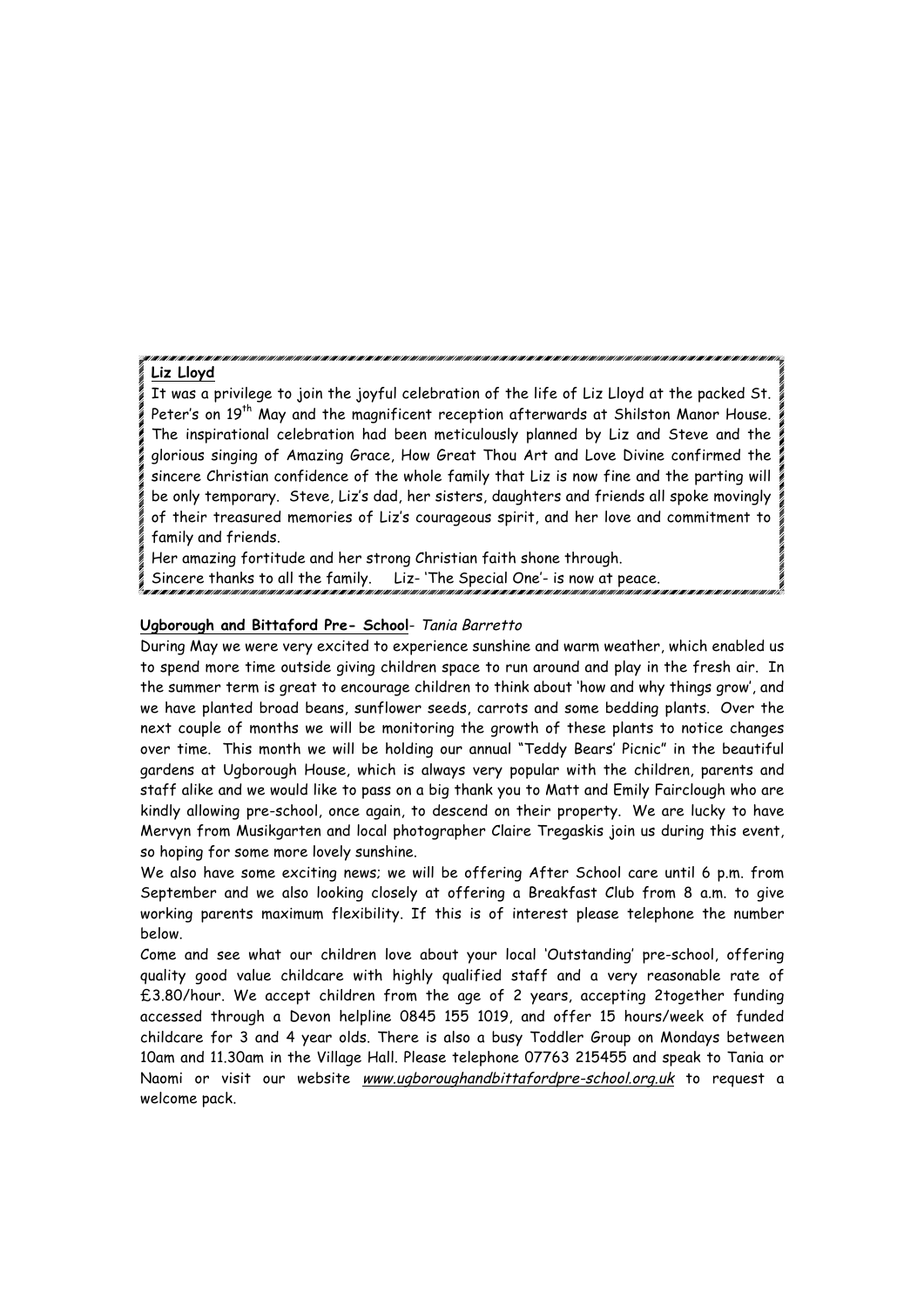#### **Liz Lloyd**

It was a privilege to join the joyful celebration of the life of Liz Lloyd at the packed St. Peter's on 19<sup>th</sup> May and the magnificent reception afterwards at Shilston Manor House. The inspirational celebration had been meticulously planned by Liz and Steve and the glorious singing of Amazing Grace, How Great Thou Art and Love Divine confirmed the sincere Christian confidence of the whole family that Liz is now fine and the parting will be only temporary. Steve, Liz's dad, her sisters, daughters and friends all spoke movingly of their treasured memories of Liz's courageous spirit, and her love and commitment to family and friends.

Her amazing fortitude and her strong Christian faith shone through. Sincere thanks to all the family. Liz- 'The Special One'- is now at peace.

#### **Ugborough and Bittaford Pre- School**- Tania Barretto

During May we were very excited to experience sunshine and warm weather, which enabled us to spend more time outside giving children space to run around and play in the fresh air. In the summer term is great to encourage children to think about 'how and why things grow', and we have planted broad beans, sunflower seeds, carrots and some bedding plants. Over the next couple of months we will be monitoring the growth of these plants to notice changes over time. This month we will be holding our annual "Teddy Bears' Picnic" in the beautiful gardens at Ugborough House, which is always very popular with the children, parents and staff alike and we would like to pass on a big thank you to Matt and Emily Fairclough who are kindly allowing pre-school, once again, to descend on their property. We are lucky to have Mervyn from Musikgarten and local photographer Claire Tregaskis join us during this event, so hoping for some more lovely sunshine.

We also have some exciting news; we will be offering After School care until 6 p.m. from September and we also looking closely at offering a Breakfast Club from 8 a.m. to give working parents maximum flexibility. If this is of interest please telephone the number below.

Come and see what our children love about your local 'Outstanding' pre-school, offering quality good value childcare with highly qualified staff and a very reasonable rate of £3.80/hour. We accept children from the age of 2 years, accepting 2together funding accessed through a Devon helpline 0845 155 1019, and offer 15 hours/week of funded childcare for 3 and 4 year olds. There is also a busy Toddler Group on Mondays between 10am and 11.30am in the Village Hall. Please telephone 07763 215455 and speak to Tania or Naomi or visit our website www.ugboroughandbittafordpre-school.org.uk to request a welcome pack.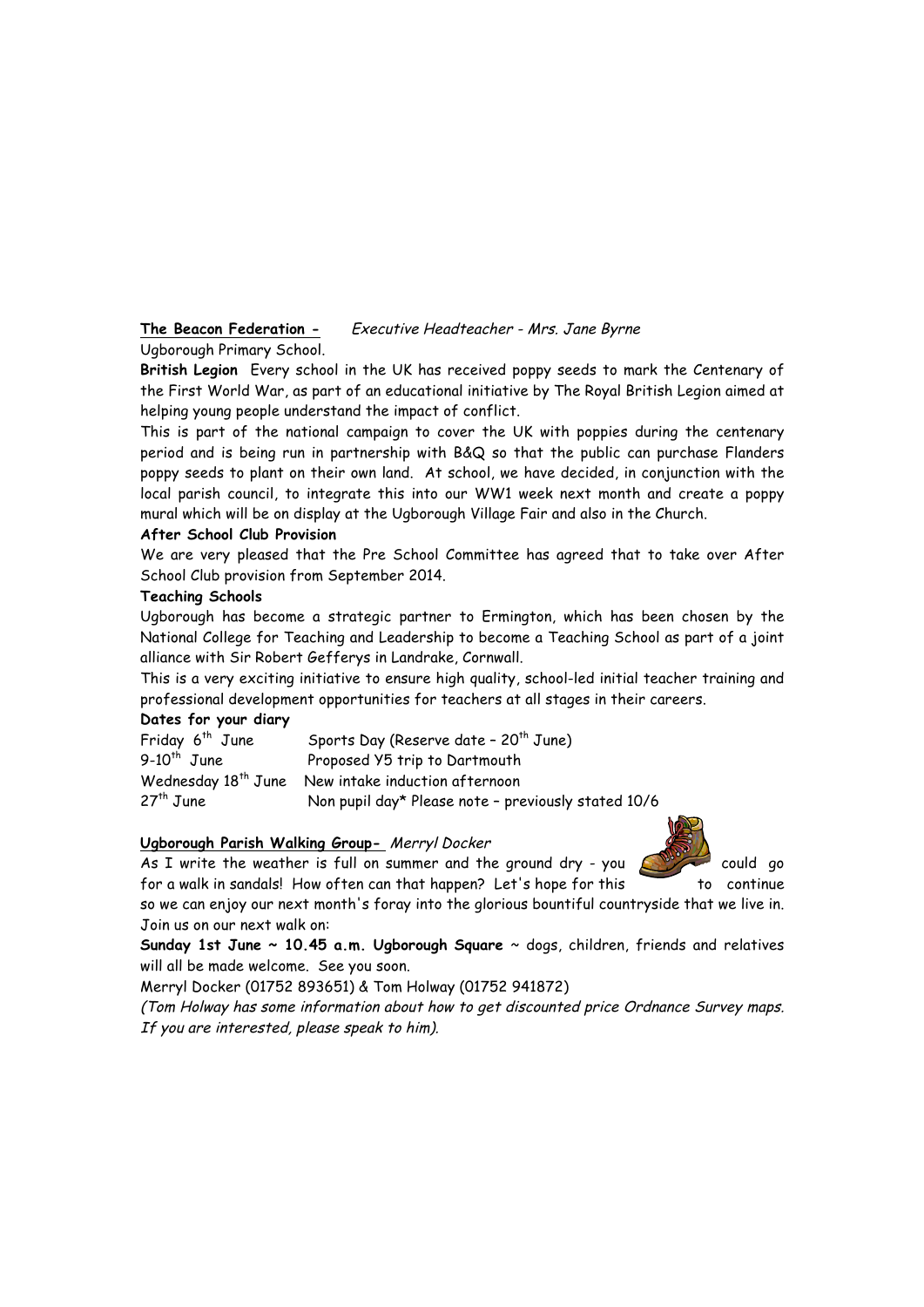# **The Beacon Federation -** Executive Headteacher - Mrs. Jane Byrne

# Ugborough Primary School.

**British Legion** Every school in the UK has received poppy seeds to mark the Centenary of the First World War, as part of an educational initiative by The Royal British Legion aimed at helping young people understand the impact of conflict.

This is part of the national campaign to cover the UK with poppies during the centenary period and is being run in partnership with B&Q so that the public can purchase Flanders poppy seeds to plant on their own land. At school, we have decided, in conjunction with the local parish council, to integrate this into our WW1 week next month and create a poppy mural which will be on display at the Ugborough Village Fair and also in the Church.

#### **After School Club Provision**

We are very pleased that the Pre School Committee has agreed that to take over After School Club provision from September 2014.

#### **Teaching Schools**

Ugborough has become a strategic partner to Ermington, which has been chosen by the National College for Teaching and Leadership to become a Teaching School as part of a joint alliance with Sir Robert Gefferys in Landrake, Cornwall.

This is a very exciting initiative to ensure high quality, school-led initial teacher training and professional development opportunities for teachers at all stages in their careers.

#### **Dates for your diary**

| Friday 6 <sup>th</sup> June | Sports Day (Reserve date - 20 <sup>th</sup> June)              |
|-----------------------------|----------------------------------------------------------------|
| $9-10^{th}$ June            | Proposed Y5 trip to Dartmouth                                  |
|                             | Wednesday 18 <sup>th</sup> June New intake induction afternoon |
| $27th$ June                 | Non pupil day* Please note - previously stated 10/6            |

# **Ugborough Parish Walking Group-** Merryl Docker

As I write the weather is full on summer and the ground dry - you  $\sqrt{1 + \frac{1}{2}}$  could go for a walk in sandals! How often can that happen? Let's hope for this to continue

so we can enjoy our next month's foray into the glorious bountiful countryside that we live in. Join us on our next walk on:

**Sunday 1st June ~ 10.45 a.m. Ugborough Square** ~ dogs, children, friends and relatives will all be made welcome. See you soon.

Merryl Docker (01752 893651) & Tom Holway (01752 941872)

(Tom Holway has some information about how to get discounted price Ordnance Survey maps. If you are interested, please speak to him).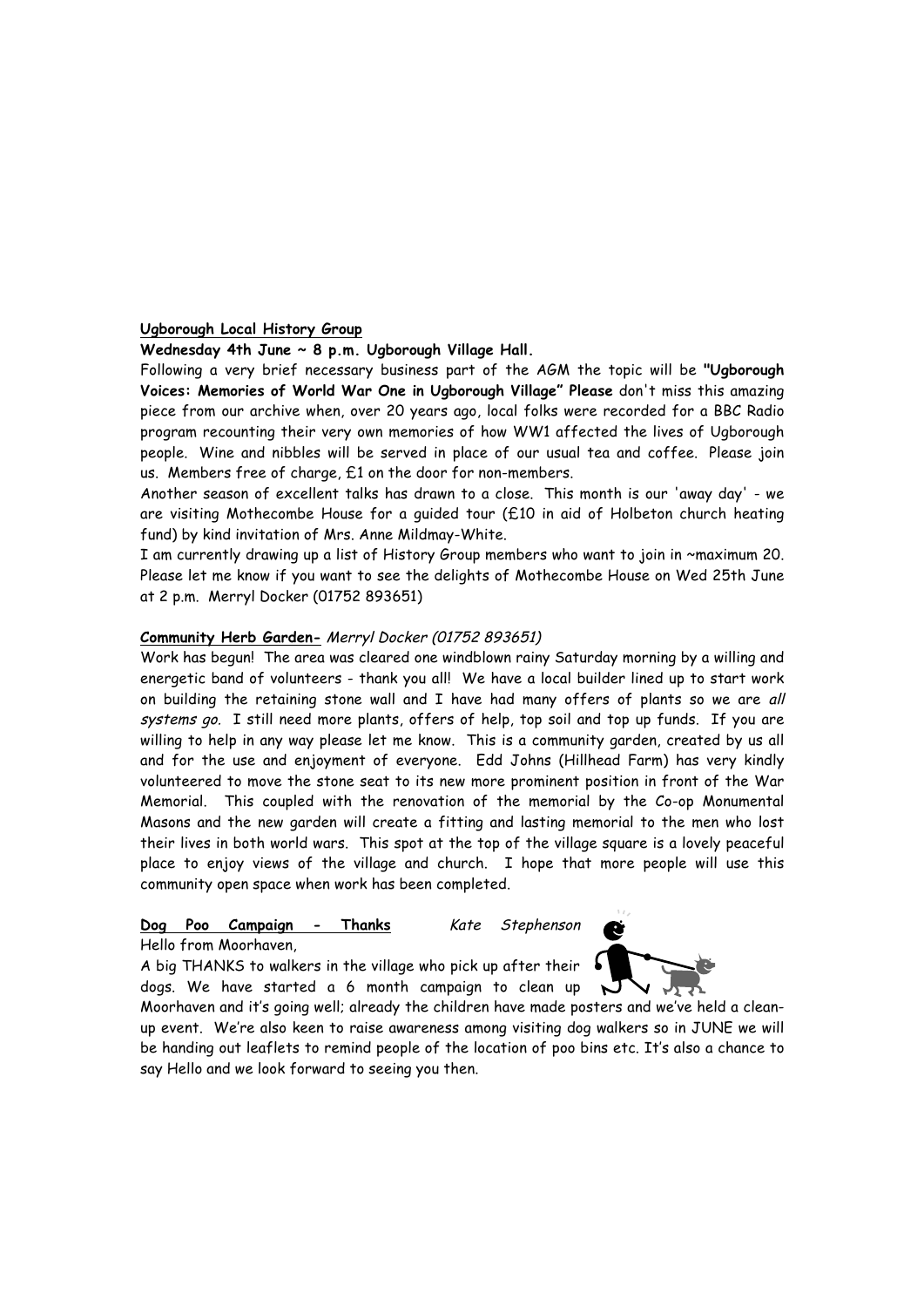#### **Ugborough Local History Group**

#### **Wednesday 4th June ~ 8 p.m. Ugborough Village Hall.**

Following a very brief necessary business part of the AGM the topic will be **"Ugborough Voices: Memories of World War One in Ugborough Village" Please** don't miss this amazing piece from our archive when, over 20 years ago, local folks were recorded for a BBC Radio program recounting their very own memories of how WW1 affected the lives of Ugborough people. Wine and nibbles will be served in place of our usual tea and coffee. Please join us. Members free of charge, £1 on the door for non-members.

Another season of excellent talks has drawn to a close. This month is our 'away day' - we are visiting Mothecombe House for a guided tour (£10 in aid of Holbeton church heating fund) by kind invitation of Mrs. Anne Mildmay-White.

I am currently drawing up a list of History Group members who want to join in ~maximum 20. Please let me know if you want to see the delights of Mothecombe House on Wed 25th June at 2 p.m. Merryl Docker (01752 893651)

#### **Community Herb Garden-** Merryl Docker (01752 893651)

Work has begun! The area was cleared one windblown rainy Saturday morning by a willing and energetic band of volunteers - thank you all! We have a local builder lined up to start work on building the retaining stone wall and I have had many offers of plants so we are all systems go. I still need more plants, offers of help, top soil and top up funds. If you are willing to help in any way please let me know. This is a community garden, created by us all and for the use and enjoyment of everyone. Edd Johns (Hillhead Farm) has very kindly volunteered to move the stone seat to its new more prominent position in front of the War Memorial. This coupled with the renovation of the memorial by the Co-op Monumental Masons and the new garden will create a fitting and lasting memorial to the men who lost their lives in both world wars. This spot at the top of the village square is a lovely peaceful place to enjoy views of the village and church. I hope that more people will use this community open space when work has been completed.

# Dog Poo Campaign - Thanks Kate Stephenson

Hello from Moorhaven,

A big THANKS to walkers in the village who pick up after their dogs. We have started a 6 month campaign to clean up



Moorhaven and it's going well; already the children have made posters and we've held a cleanup event. We're also keen to raise awareness among visiting dog walkers so in JUNE we will be handing out leaflets to remind people of the location of poo bins etc. It's also a chance to say Hello and we look forward to seeing you then.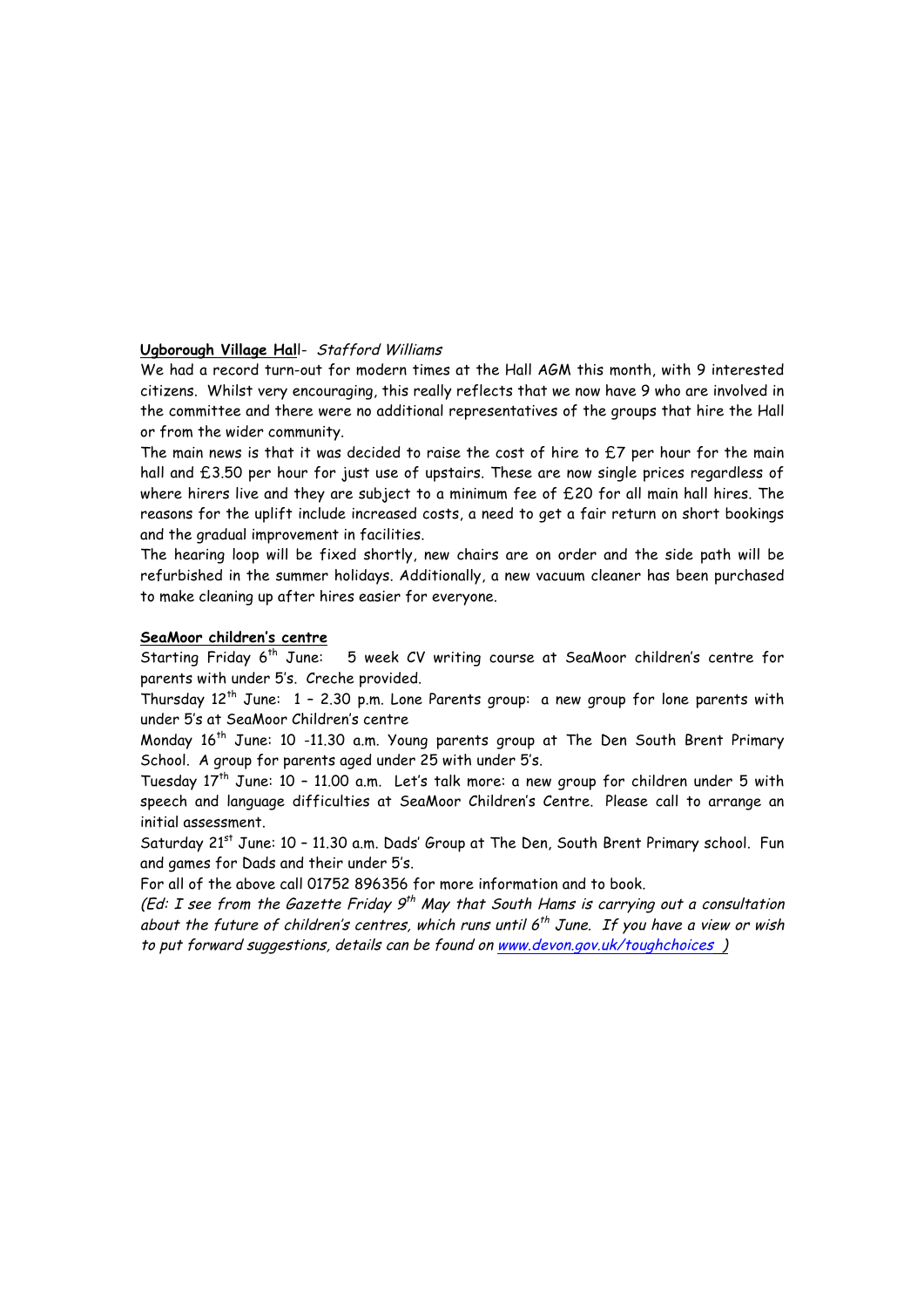# **Ugborough Village Hal**l- Stafford Williams

We had a record turn-out for modern times at the Hall AGM this month, with 9 interested citizens. Whilst very encouraging, this really reflects that we now have 9 who are involved in the committee and there were no additional representatives of the groups that hire the Hall or from the wider community.

The main news is that it was decided to raise the cost of hire to £7 per hour for the main hall and £3.50 per hour for just use of upstairs. These are now single prices regardless of where hirers live and they are subject to a minimum fee of £20 for all main hall hires. The reasons for the uplift include increased costs, a need to get a fair return on short bookings and the gradual improvement in facilities.

The hearing loop will be fixed shortly, new chairs are on order and the side path will be refurbished in the summer holidays. Additionally, a new vacuum cleaner has been purchased to make cleaning up after hires easier for everyone.

# **SeaMoor children's centre**

Starting Friday 6th June:5 week CV writing course at SeaMoor children's centre for parents with under 5's. Creche provided.

Thursday  $12^{th}$  June:  $1 - 2.30$  p.m. Lone Parents group: a new group for lone parents with under 5's at SeaMoor Children's centre

Monday 16<sup>th</sup> June: 10 -11.30 a.m. Young parents group at The Den South Brent Primary School. A group for parents aged under 25 with under 5's.

Tuesday 17<sup>th</sup> June: 10 - 11.00 a.m. Let's talk more: a new group for children under 5 with speech and language difficulties at SeaMoor Children's Centre. Please call to arrange an initial assessment.

Saturday 21<sup>st</sup> June: 10 - 11.30 a.m. Dads' Group at The Den, South Brent Primary school. Fun and games for Dads and their under 5's.

For all of the above call 01752 896356 for more information and to book.

(Ed: I see from the Gazette Friday  $9^{th}$  May that South Hams is carrying out a consultation about the future of children's centres, which runs until  $6^{th}$  June. If you have a view or wish to put forward suggestions, details can be found on www.devon.gov.uk/toughchoices )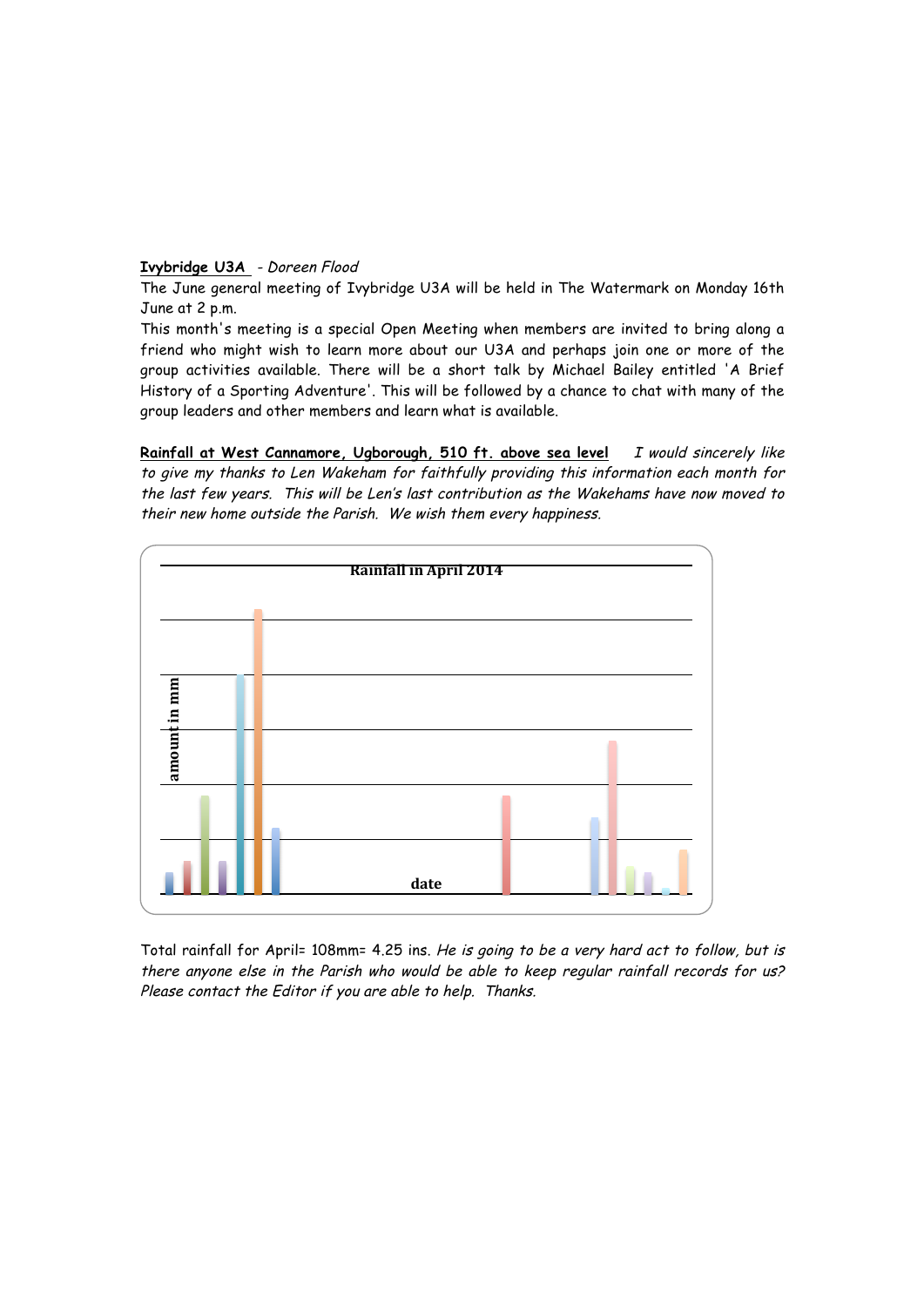#### **Ivybridge U3A** - Doreen Flood

The June general meeting of Ivybridge U3A will be held in The Watermark on Monday 16th June at 2 p.m.

This month's meeting is a special Open Meeting when members are invited to bring along a friend who might wish to learn more about our U3A and perhaps join one or more of the group activities available. There will be a short talk by Michael Bailey entitled 'A Brief History of a Sporting Adventure'. This will be followed by a chance to chat with many of the group leaders and other members and learn what is available.

Rainfall at West Cannamore, Ugborough, 510 ft. above sea level I would sincerely like to give my thanks to Len Wakeham for faithfully providing this information each month for the last few years. This will be Len's last contribution as the Wakehams have now moved to their new home outside the Parish. We wish them every happiness.



Total rainfall for April= 108mm= 4.25 ins. He is going to be a very hard act to follow, but is there anyone else in the Parish who would be able to keep regular rainfall records for us?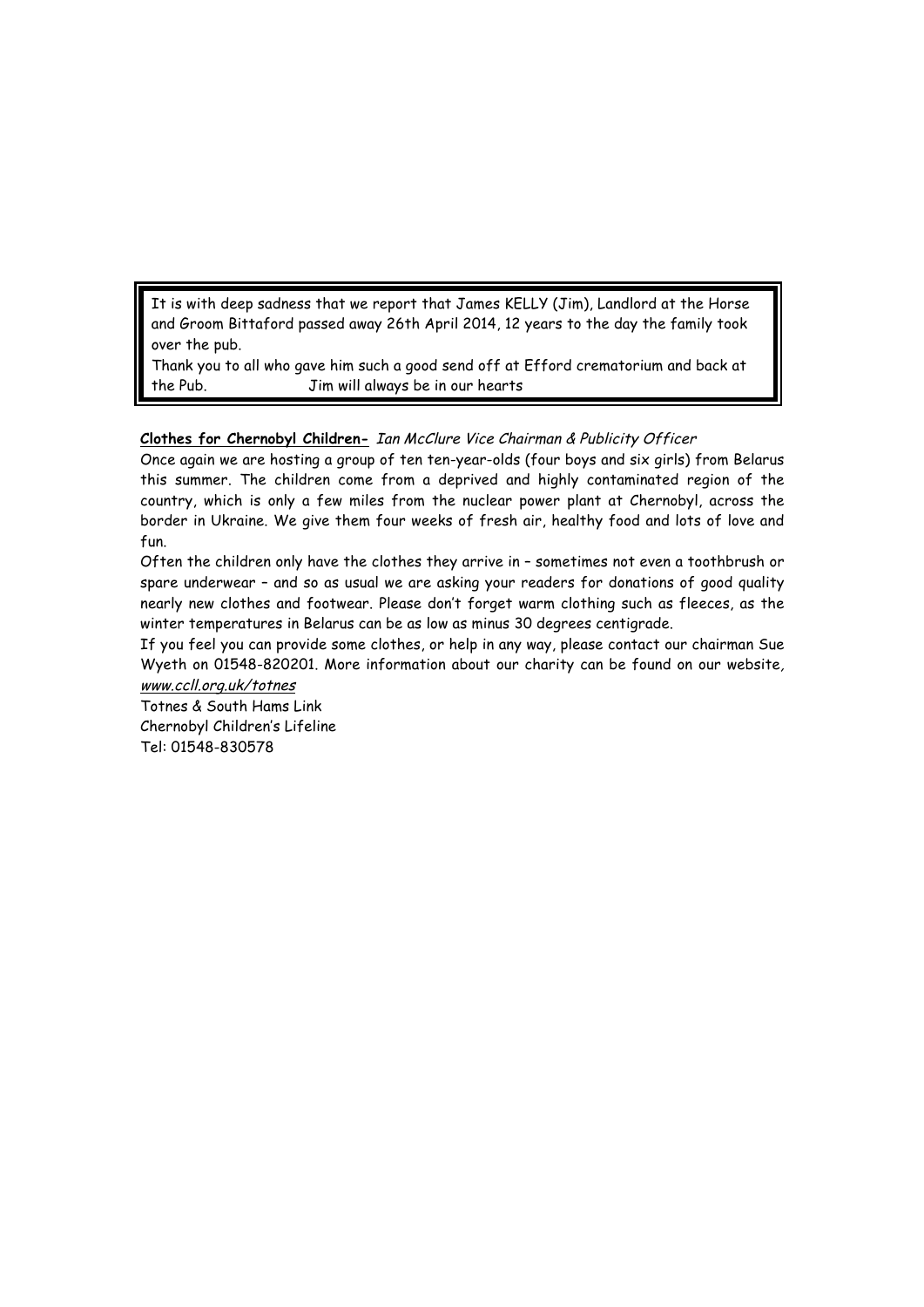It is with deep sadness that we report that James KELLY (Jim), Landlord at the Horse and Groom Bittaford passed away 26th April 2014, 12 years to the day the family took over the pub.

Thank you to all who gave him such a good send off at Efford crematorium and back at the Pub. Jim will always be in our hearts

# **Clothes for Chernobyl Children-** Ian McClure Vice Chairman & Publicity Officer

Once again we are hosting a group of ten ten-year-olds (four boys and six girls) from Belarus this summer. The children come from a deprived and highly contaminated region of the country, which is only a few miles from the nuclear power plant at Chernobyl, across the border in Ukraine. We give them four weeks of fresh air, healthy food and lots of love and fun.

Often the children only have the clothes they arrive in – sometimes not even a toothbrush or spare underwear – and so as usual we are asking your readers for donations of good quality nearly new clothes and footwear. Please don't forget warm clothing such as fleeces, as the winter temperatures in Belarus can be as low as minus 30 degrees centigrade.

If you feel you can provide some clothes, or help in any way, please contact our chairman Sue Wyeth on 01548-820201. More information about our charity can be found on our website, www.ccll.org.uk/totnes

Totnes & South Hams Link Chernobyl Children's Lifeline Tel: 01548-830578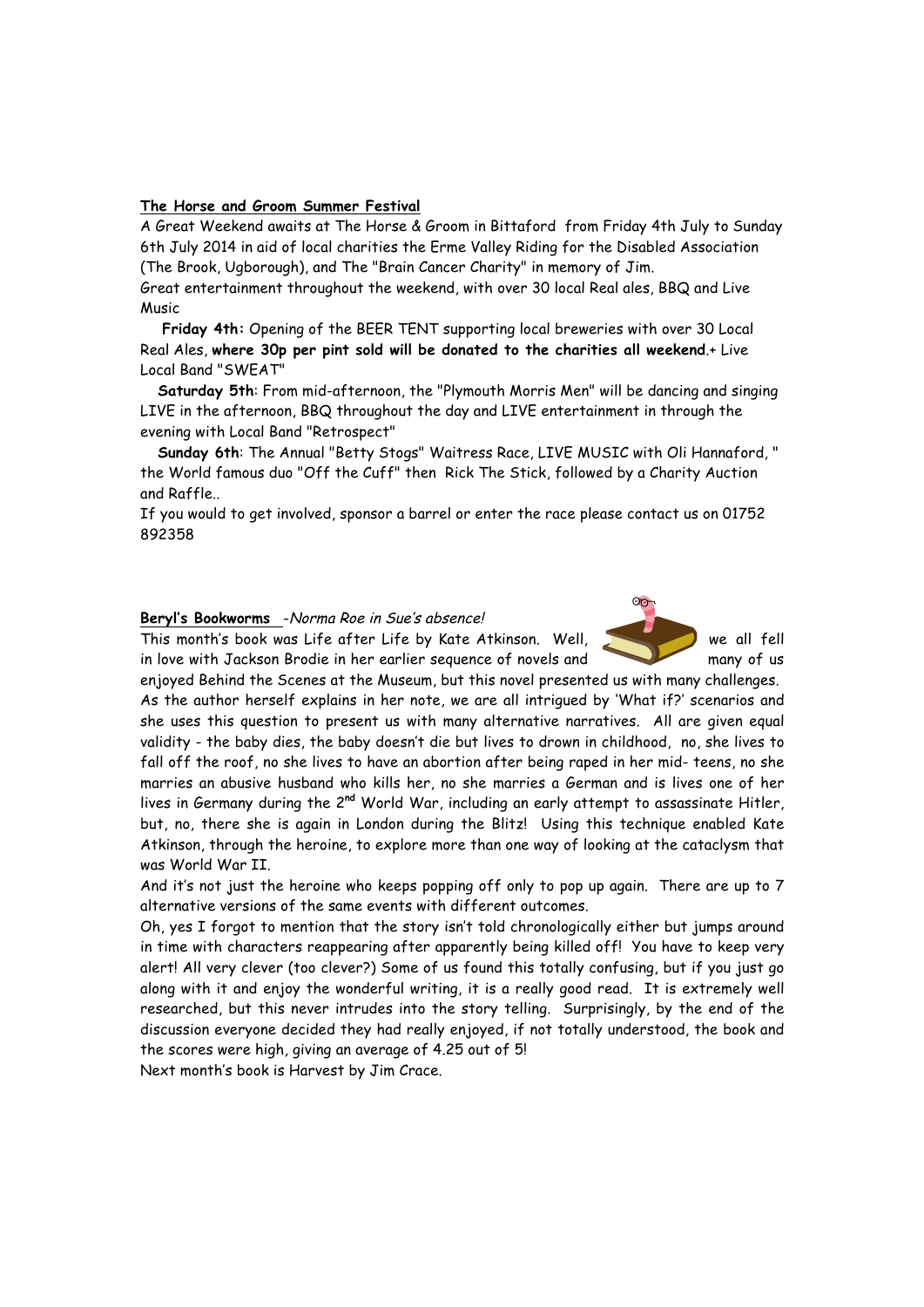#### **The Horse and Groom Summer Festival**

A Great Weekend awaits at The Horse & Groom in Bittaford from Friday 4th July to Sunday 6th July 2014 in aid of local charities the Erme Valley Riding for the Disabled Association (The Brook, Ugborough), and The "Brain Cancer Charity" in memory of Jim.

Great entertainment throughout the weekend, with over 30 local Real ales, BBQ and Live Music

**Friday 4th:** Opening of the BEER TENT supporting local breweries with over 30 Local Real Ales, **where 30p per pint sold will be donated to the charities all weekend**.+ Live Local Band "SWEAT"

**Saturday 5th**: From mid-afternoon, the "Plymouth Morris Men" will be dancing and singing LIVE in the afternoon, BBQ throughout the day and LIVE entertainment in through the evening with Local Band "Retrospect"

**Sunday 6th**: The Annual "Betty Stogs" Waitress Race, LIVE MUSIC with Oli Hannaford, " the World famous duo "Off the Cuff" then Rick The Stick, followed by a Charity Auction and Raffle..

If you would to get involved, sponsor a barrel or enter the race please contact us on 01752 892358

 $\odot$ 

#### **Beryl's Bookworms** -Norma Roe in Sue's absence!

This month's book was Life after Life by Kate Atkinson. Well, we all fell in love with Jackson Brodie in her earlier sequence of novels and many of us

enjoyed Behind the Scenes at the Museum, but this novel presented us with many challenges. As the author herself explains in her note, we are all intrigued by 'What if?' scenarios and she uses this question to present us with many alternative narratives. All are given equal validity - the baby dies, the baby doesn't die but lives to drown in childhood, no, she lives to fall off the roof, no she lives to have an abortion after being raped in her mid- teens, no she marries an abusive husband who kills her, no she marries a German and is lives one of her lives in Germany during the 2**nd** World War, including an early attempt to assassinate Hitler, but, no, there she is again in London during the Blitz! Using this technique enabled Kate Atkinson, through the heroine, to explore more than one way of looking at the cataclysm that was World War II.

And it's not just the heroine who keeps popping off only to pop up again. There are up to 7 alternative versions of the same events with different outcomes.

Oh, yes I forgot to mention that the story isn't told chronologically either but jumps around in time with characters reappearing after apparently being killed off! You have to keep very alert! All very clever (too clever?) Some of us found this totally confusing, but if you just go along with it and enjoy the wonderful writing, it is a really good read. It is extremely well researched, but this never intrudes into the story telling. Surprisingly, by the end of the discussion everyone decided they had really enjoyed, if not totally understood, the book and the scores were high, giving an average of 4.25 out of 5!

Next month's book is Harvest by Jim Crace.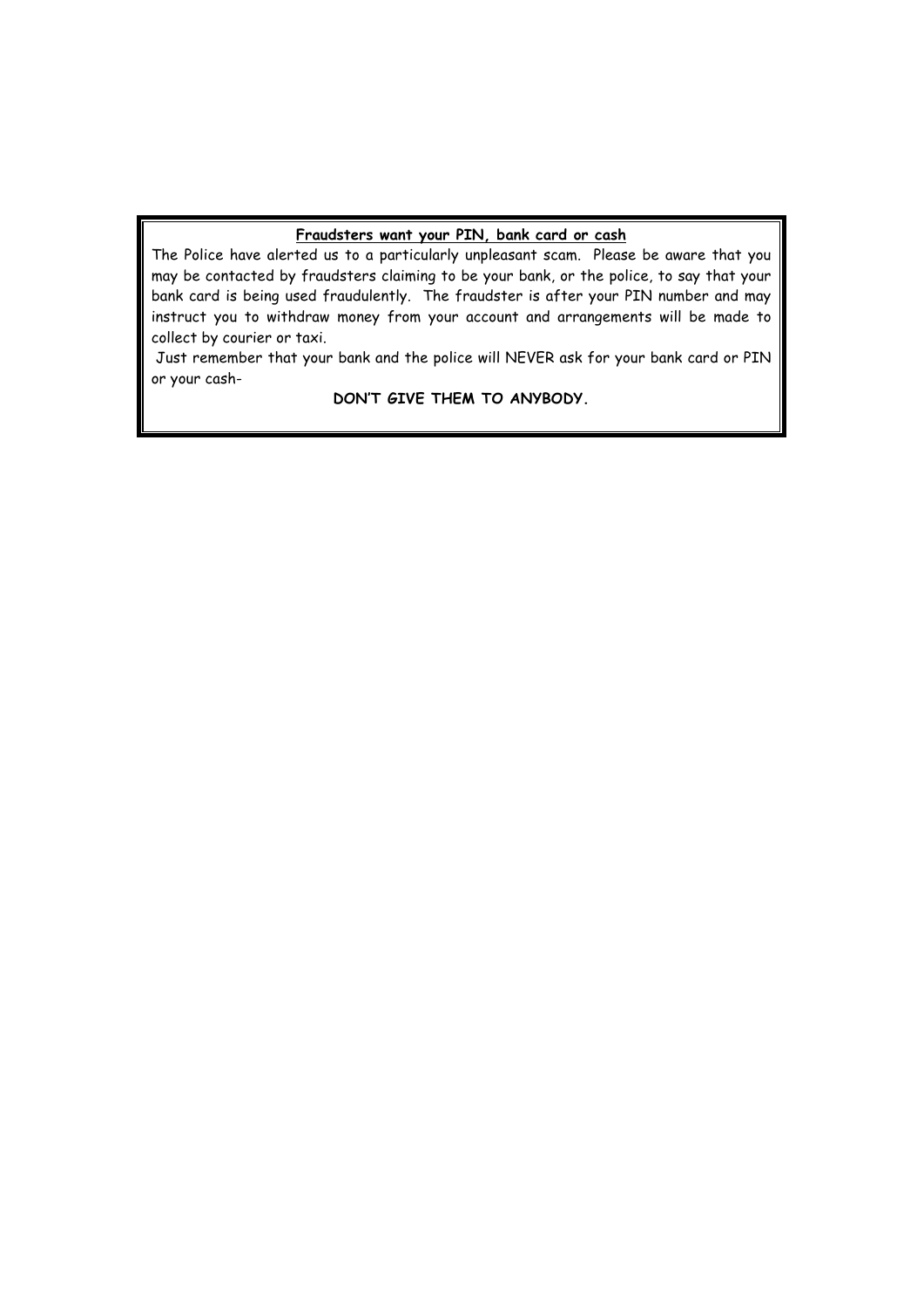# **Fraudsters want your PIN, bank card or cash**

The Police have alerted us to a particularly unpleasant scam. Please be aware that you may be contacted by fraudsters claiming to be your bank, or the police, to say that your bank card is being used fraudulently. The fraudster is after your PIN number and may instruct you to withdraw money from your account and arrangements will be made to collect by courier or taxi.

Just remember that your bank and the police will NEVER ask for your bank card or PIN or your cash-

**DON'T GIVE THEM TO ANYBODY.**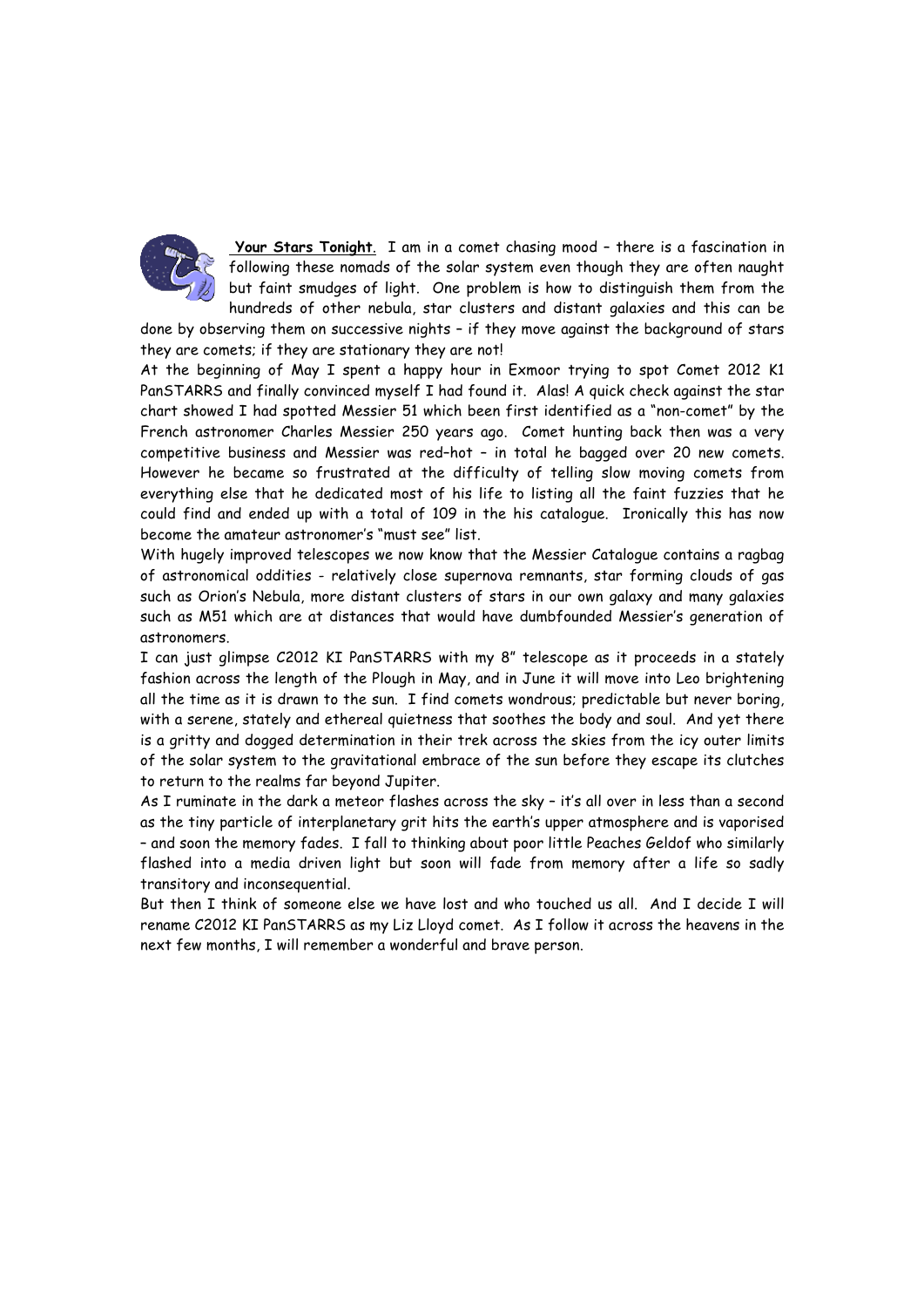

**Your Stars Tonight**. I am in a comet chasing mood – there is a fascination in following these nomads of the solar system even though they are often naught but faint smudges of light. One problem is how to distinguish them from the hundreds of other nebula, star clusters and distant galaxies and this can be

done by observing them on successive nights – if they move against the background of stars they are comets; if they are stationary they are not!

At the beginning of May I spent a happy hour in Exmoor trying to spot Comet 2012 K1 PanSTARRS and finally convinced myself I had found it. Alas! A quick check against the star chart showed I had spotted Messier 51 which been first identified as a "non-comet" by the French astronomer Charles Messier 250 years ago. Comet hunting back then was a very competitive business and Messier was red–hot – in total he bagged over 20 new comets. However he became so frustrated at the difficulty of telling slow moving comets from everything else that he dedicated most of his life to listing all the faint fuzzies that he could find and ended up with a total of 109 in the his catalogue. Ironically this has now become the amateur astronomer's "must see" list.

With hugely improved telescopes we now know that the Messier Catalogue contains a ragbag of astronomical oddities - relatively close supernova remnants, star forming clouds of gas such as Orion's Nebula, more distant clusters of stars in our own galaxy and many galaxies such as M51 which are at distances that would have dumbfounded Messier's generation of astronomers.

I can just glimpse C2012 KI PanSTARRS with my 8" telescope as it proceeds in a stately fashion across the length of the Plough in May, and in June it will move into Leo brightening all the time as it is drawn to the sun. I find comets wondrous; predictable but never boring, with a serene, stately and ethereal quietness that soothes the body and soul. And yet there is a gritty and dogged determination in their trek across the skies from the icy outer limits of the solar system to the gravitational embrace of the sun before they escape its clutches to return to the realms far beyond Jupiter.

As I ruminate in the dark a meteor flashes across the sky – it's all over in less than a second as the tiny particle of interplanetary grit hits the earth's upper atmosphere and is vaporised – and soon the memory fades. I fall to thinking about poor little Peaches Geldof who similarly flashed into a media driven light but soon will fade from memory after a life so sadly transitory and inconsequential.

But then I think of someone else we have lost and who touched us all. And I decide I will rename C2012 KI PanSTARRS as my Liz Lloyd comet. As I follow it across the heavens in the next few months, I will remember a wonderful and brave person.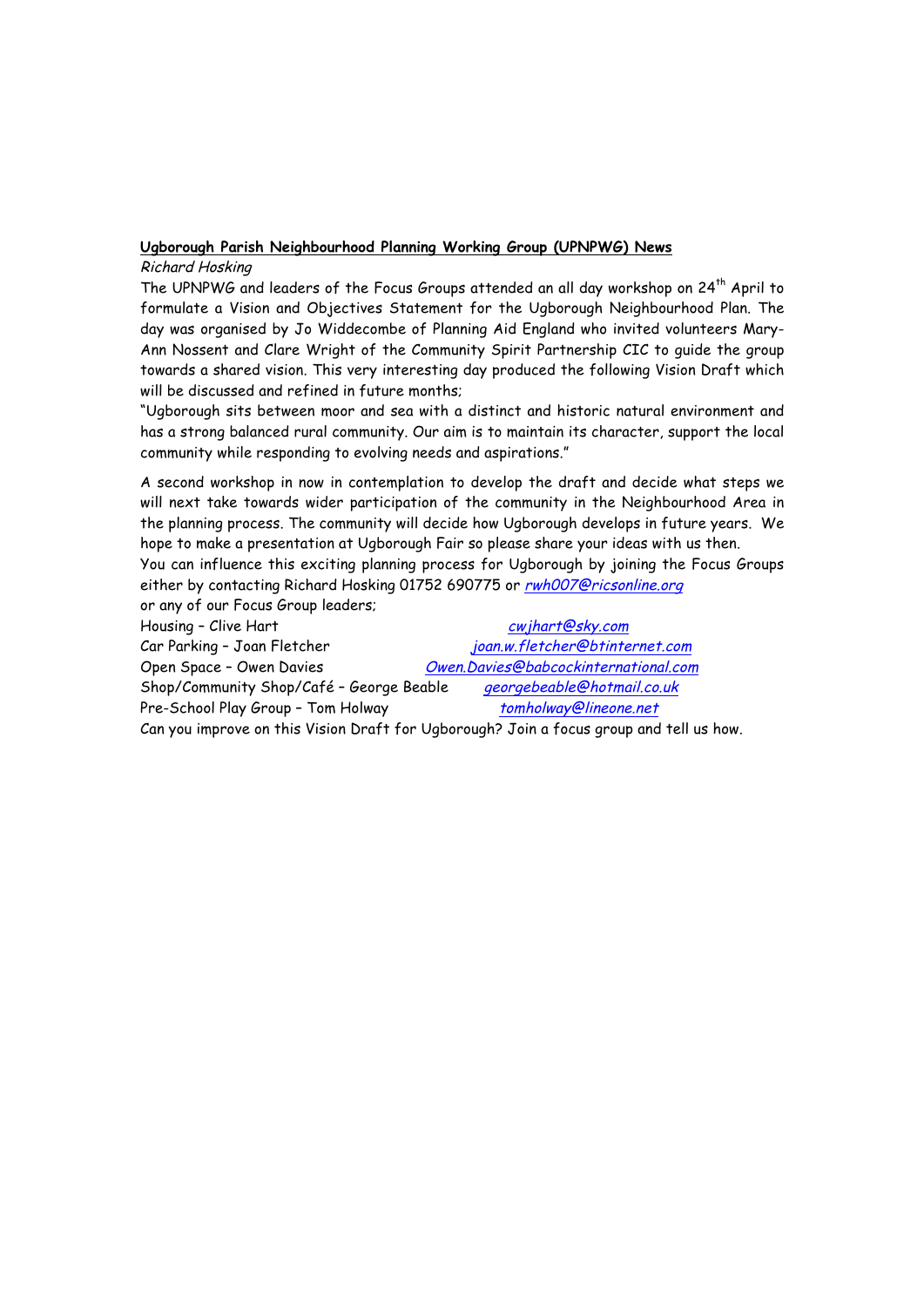# **Ugborough Parish Neighbourhood Planning Working Group (UPNPWG) News**

# Richard Hosking

The UPNPWG and leaders of the Focus Groups attended an all day workshop on 24th April to formulate a Vision and Objectives Statement for the Ugborough Neighbourhood Plan. The day was organised by Jo Widdecombe of Planning Aid England who invited volunteers Mary-Ann Nossent and Clare Wright of the Community Spirit Partnership CIC to guide the group towards a shared vision. This very interesting day produced the following Vision Draft which will be discussed and refined in future months;

"Ugborough sits between moor and sea with a distinct and historic natural environment and has a strong balanced rural community. Our aim is to maintain its character, support the local community while responding to evolving needs and aspirations."

A second workshop in now in contemplation to develop the draft and decide what steps we will next take towards wider participation of the community in the Neighbourhood Area in the planning process. The community will decide how Ugborough develops in future years. We hope to make a presentation at Ugborough Fair so please share your ideas with us then. You can influence this exciting planning process for Ugborough by joining the Focus Groups either by contacting Richard Hosking 01752 690775 or rwh007@ricsonline.org

or any of our Focus Group leaders;

Housing – Clive Hart cwing the China of the China of China cwing China cwing China China China China China China China China China China China China China China China China China China China China China China China China C Car Parking - Joan Fletcher joan.w.fletcher@btinternet.com Open Space – Owen Davies Owen.Davies@babcockinternational.com Shop/Community Shop/Café - George Beable georgebeable@hotmail.co.uk Pre-School Play Group - Tom Holway tomholway@lineone.net Can you improve on this Vision Draft for Ugborough? Join a focus group and tell us how.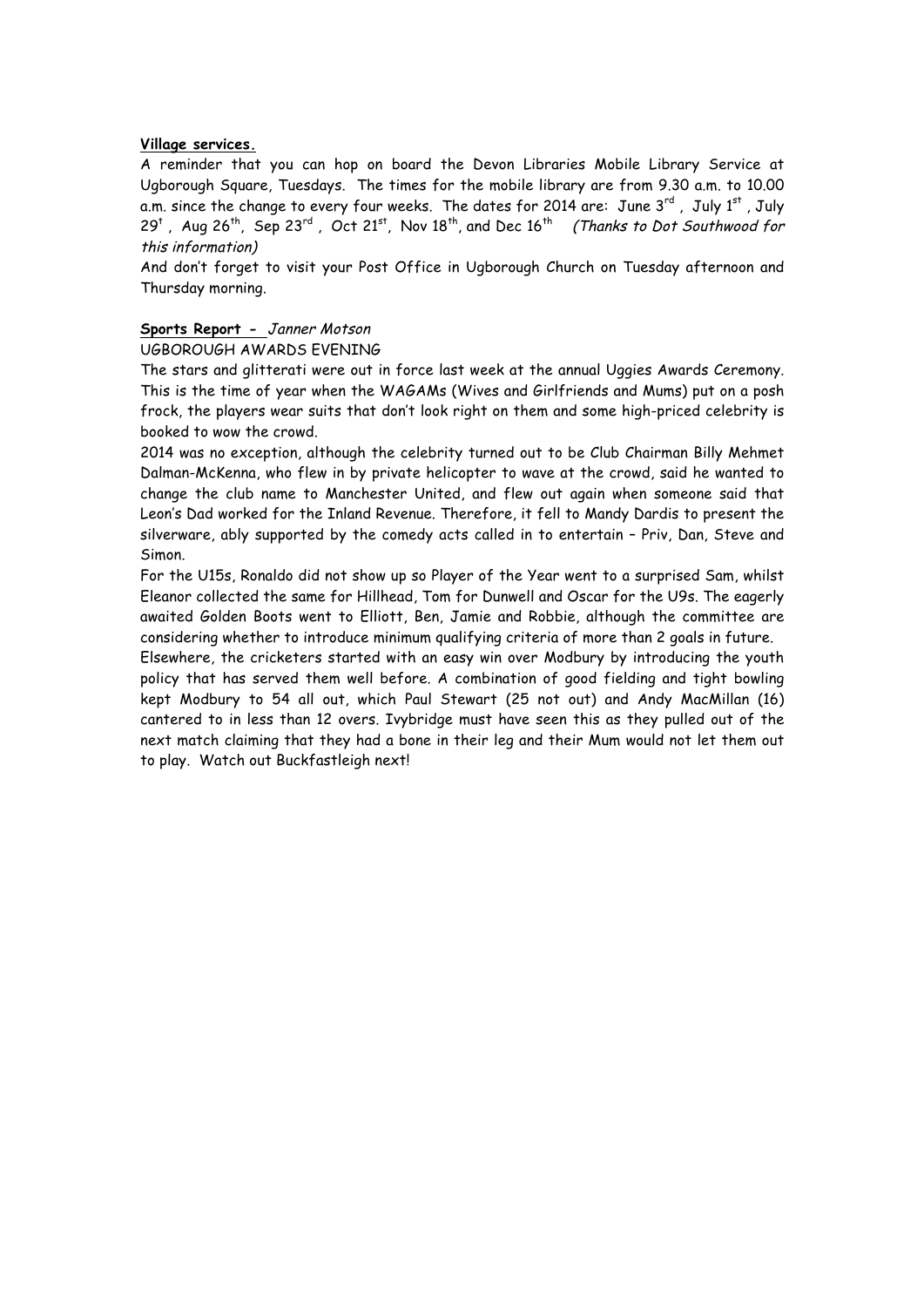#### **Village services.**

A reminder that you can hop on board the Devon Libraries Mobile Library Service at Ugborough Square, Tuesdays. The times for the mobile library are from 9.30 a.m. to 10.00 a.m. since the change to every four weeks. The dates for 2014 are: June 3 $^{\rm rd}$  , <code>July 1 $^{\rm st}$ </code> , <code>July</code>  $29^t$ , Aug  $26^{th}$ , Sep  $23^{rd}$ , Oct  $21^{st}$ , Nov  $18^{th}$ , and Dec  $16^{th}$  (Thanks to Dot Southwood for this information)

And don't forget to visit your Post Office in Ugborough Church on Tuesday afternoon and Thursday morning.

# **Sports Report -** Janner Motson

UGBOROUGH AWARDS EVENING

The stars and glitterati were out in force last week at the annual Uggies Awards Ceremony. This is the time of year when the WAGAMs (Wives and Girlfriends and Mums) put on a posh frock, the players wear suits that don't look right on them and some high-priced celebrity is booked to wow the crowd.

2014 was no exception, although the celebrity turned out to be Club Chairman Billy Mehmet Dalman-McKenna, who flew in by private helicopter to wave at the crowd, said he wanted to change the club name to Manchester United, and flew out again when someone said that Leon's Dad worked for the Inland Revenue. Therefore, it fell to Mandy Dardis to present the silverware, ably supported by the comedy acts called in to entertain – Priv, Dan, Steve and Simon.

For the U15s, Ronaldo did not show up so Player of the Year went to a surprised Sam, whilst Eleanor collected the same for Hillhead, Tom for Dunwell and Oscar for the U9s. The eagerly awaited Golden Boots went to Elliott, Ben, Jamie and Robbie, although the committee are considering whether to introduce minimum qualifying criteria of more than 2 goals in future.

Elsewhere, the cricketers started with an easy win over Modbury by introducing the youth policy that has served them well before. A combination of good fielding and tight bowling kept Modbury to 54 all out, which Paul Stewart (25 not out) and Andy MacMillan (16) cantered to in less than 12 overs. Ivybridge must have seen this as they pulled out of the next match claiming that they had a bone in their leg and their Mum would not let them out to play. Watch out Buckfastleigh next!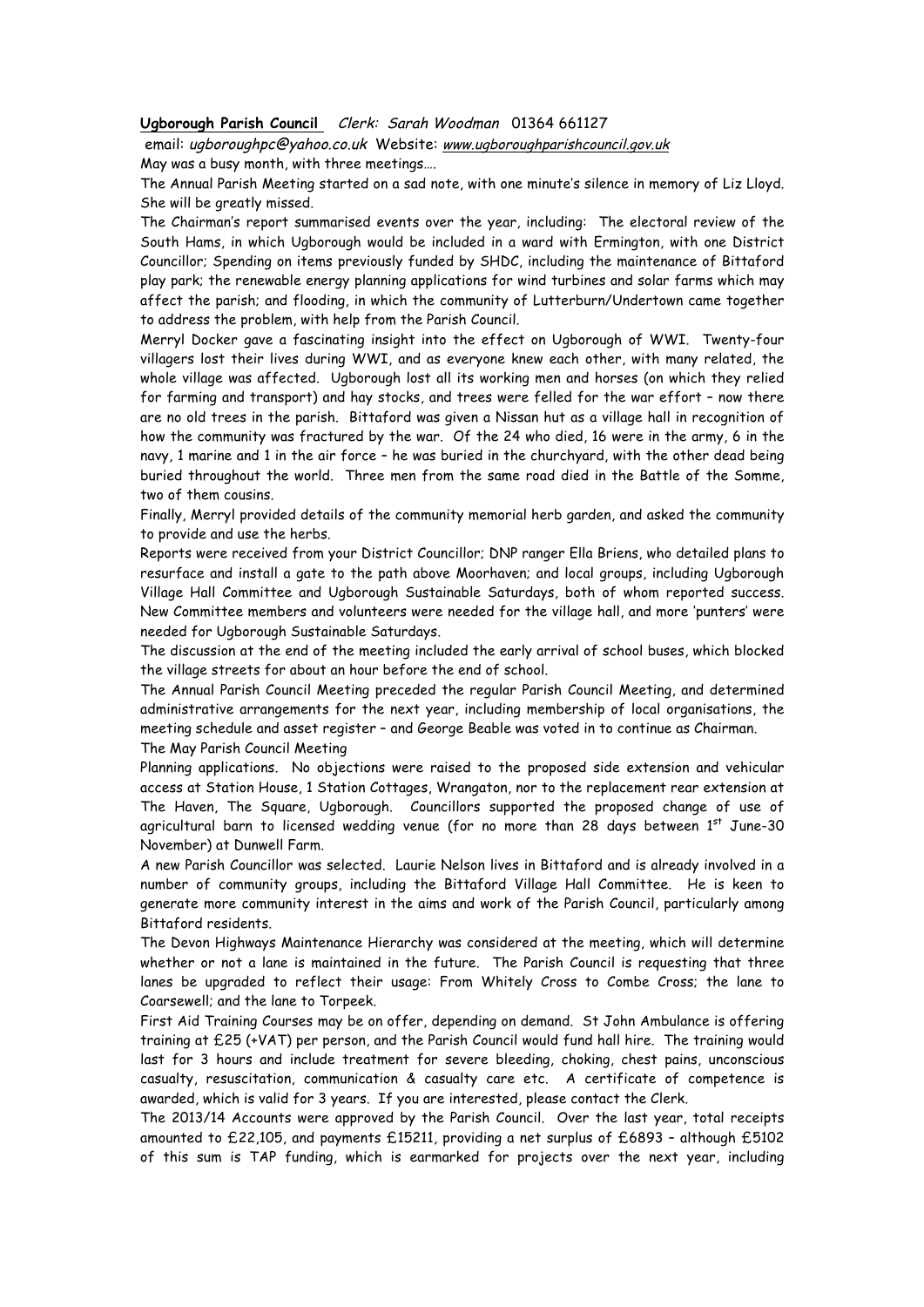#### **Ugborough Parish Council** Clerk: Sarah Woodman 01364 661127

email: ugboroughpc@yahoo.co.uk Website: www.ugboroughparishcouncil.gov.uk

May was a busy month, with three meetings….

The Annual Parish Meeting started on a sad note, with one minute's silence in memory of Liz Lloyd. She will be greatly missed.

The Chairman's report summarised events over the year, including: The electoral review of the South Hams, in which Ugborough would be included in a ward with Ermington, with one District Councillor; Spending on items previously funded by SHDC, including the maintenance of Bittaford play park; the renewable energy planning applications for wind turbines and solar farms which may affect the parish; and flooding, in which the community of Lutterburn/Undertown came together to address the problem, with help from the Parish Council.

Merryl Docker gave a fascinating insight into the effect on Ugborough of WWI. Twenty-four villagers lost their lives during WWI, and as everyone knew each other, with many related, the whole village was affected. Ugborough lost all its working men and horses (on which they relied for farming and transport) and hay stocks, and trees were felled for the war effort – now there are no old trees in the parish. Bittaford was given a Nissan hut as a village hall in recognition of how the community was fractured by the war. Of the 24 who died, 16 were in the army, 6 in the navy, 1 marine and 1 in the air force – he was buried in the churchyard, with the other dead being buried throughout the world. Three men from the same road died in the Battle of the Somme, two of them cousins.

Finally, Merryl provided details of the community memorial herb garden, and asked the community to provide and use the herbs.

Reports were received from your District Councillor; DNP ranger Ella Briens, who detailed plans to resurface and install a gate to the path above Moorhaven; and local groups, including Ugborough Village Hall Committee and Ugborough Sustainable Saturdays, both of whom reported success. New Committee members and volunteers were needed for the village hall, and more 'punters' were needed for Ugborough Sustainable Saturdays.

The discussion at the end of the meeting included the early arrival of school buses, which blocked the village streets for about an hour before the end of school.

The Annual Parish Council Meeting preceded the regular Parish Council Meeting, and determined administrative arrangements for the next year, including membership of local organisations, the meeting schedule and asset register – and George Beable was voted in to continue as Chairman.

The May Parish Council Meeting

Planning applications. No objections were raised to the proposed side extension and vehicular access at Station House, 1 Station Cottages, Wrangaton, nor to the replacement rear extension at The Haven, The Square, Ugborough. Councillors supported the proposed change of use of agricultural barn to licensed wedding venue (for no more than 28 days between  $1<sup>st</sup>$  June-30 November) at Dunwell Farm.

A new Parish Councillor was selected. Laurie Nelson lives in Bittaford and is already involved in a number of community groups, including the Bittaford Village Hall Committee. He is keen to generate more community interest in the aims and work of the Parish Council, particularly among Bittaford residents.

The Devon Highways Maintenance Hierarchy was considered at the meeting, which will determine whether or not a lane is maintained in the future. The Parish Council is requesting that three lanes be upgraded to reflect their usage: From Whitely Cross to Combe Cross; the lane to Coarsewell; and the lane to Torpeek.

First Aid Training Courses may be on offer, depending on demand. St John Ambulance is offering training at £25 (+VAT) per person, and the Parish Council would fund hall hire. The training would last for 3 hours and include treatment for severe bleeding, choking, chest pains, unconscious casualty, resuscitation, communication & casualty care etc. A certificate of competence is awarded, which is valid for 3 years. If you are interested, please contact the Clerk.

The 2013/14 Accounts were approved by the Parish Council. Over the last year, total receipts amounted to £22,105, and payments £15211, providing a net surplus of £6893 – although £5102 of this sum is TAP funding, which is earmarked for projects over the next year, including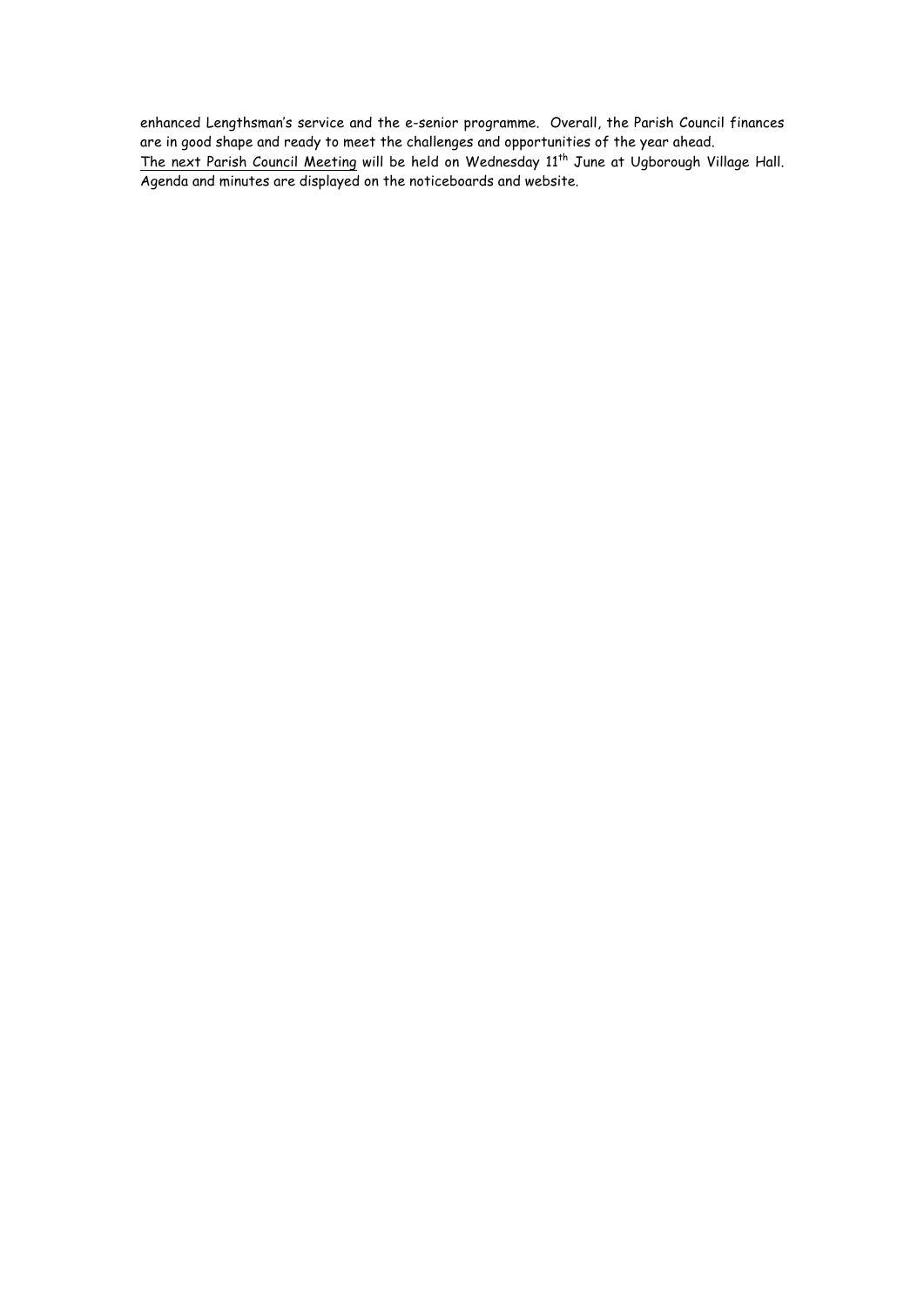enhanced Lengthsman's service and the e-senior programme. Overall, the Parish Council finances are in good shape and ready to meet the challenges and opportunities of the year ahead. The next Parish Council Meeting will be held on Wednesday 11<sup>th</sup> June at Ugborough Village Hall. Agenda and minutes are displayed on the noticeboards and website.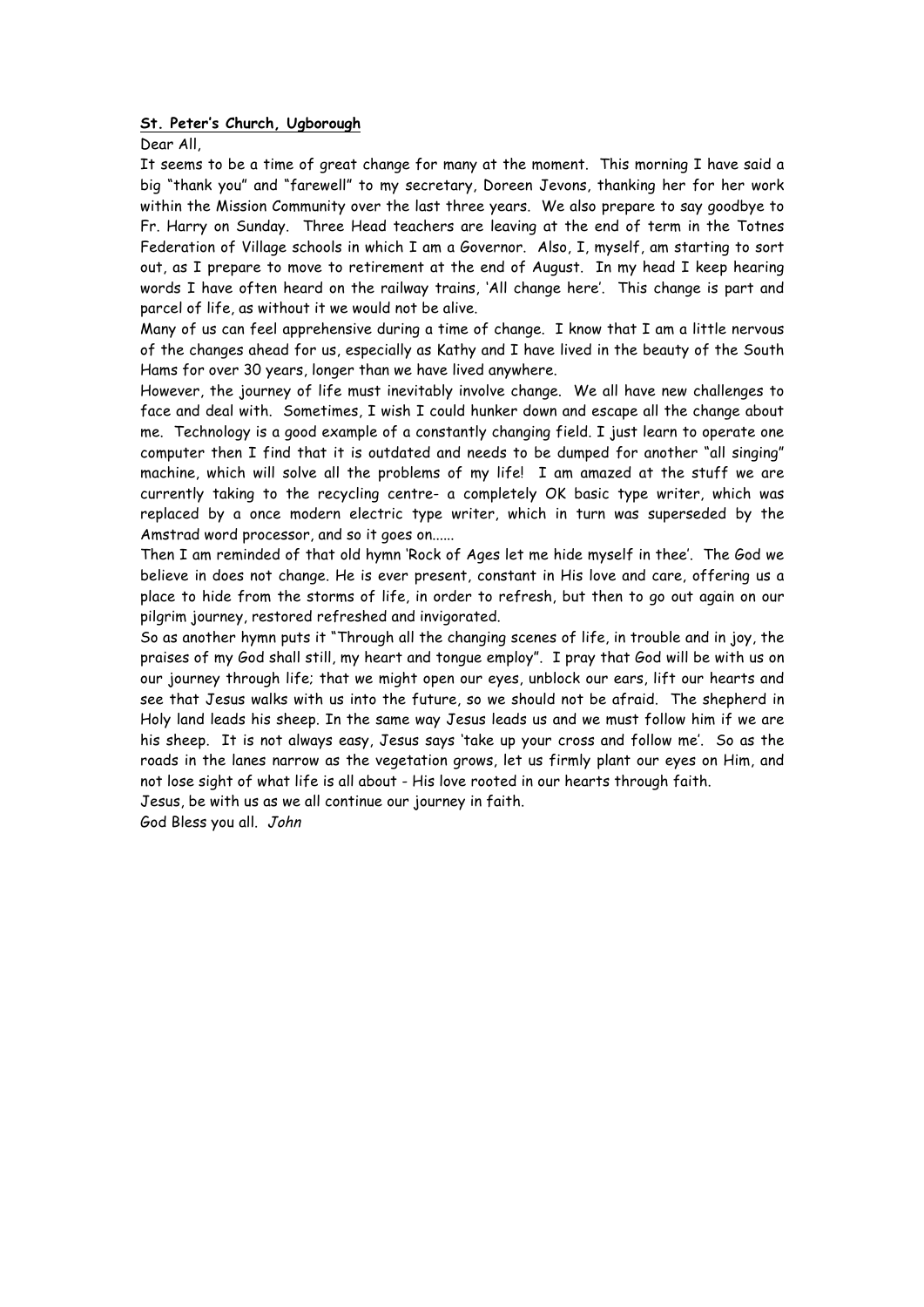#### **St. Peter's Church, Ugborough**

Dear All,

It seems to be a time of great change for many at the moment. This morning I have said a big "thank you" and "farewell" to my secretary, Doreen Jevons, thanking her for her work within the Mission Community over the last three years. We also prepare to say goodbye to Fr. Harry on Sunday. Three Head teachers are leaving at the end of term in the Totnes Federation of Village schools in which I am a Governor. Also, I, myself, am starting to sort out, as I prepare to move to retirement at the end of August. In my head I keep hearing words I have often heard on the railway trains, 'All change here'. This change is part and parcel of life, as without it we would not be alive.

Many of us can feel apprehensive during a time of change. I know that I am a little nervous of the changes ahead for us, especially as Kathy and I have lived in the beauty of the South Hams for over 30 years, longer than we have lived anywhere.

However, the journey of life must inevitably involve change. We all have new challenges to face and deal with. Sometimes, I wish I could hunker down and escape all the change about me. Technology is a good example of a constantly changing field. I just learn to operate one computer then I find that it is outdated and needs to be dumped for another "all singing" machine, which will solve all the problems of my life! I am amazed at the stuff we are currently taking to the recycling centre- a completely OK basic type writer, which was replaced by a once modern electric type writer, which in turn was superseded by the Amstrad word processor, and so it goes on......

Then I am reminded of that old hymn 'Rock of Ages let me hide myself in thee'. The God we believe in does not change. He is ever present, constant in His love and care, offering us a place to hide from the storms of life, in order to refresh, but then to go out again on our pilgrim journey, restored refreshed and invigorated.

So as another hymn puts it "Through all the changing scenes of life, in trouble and in joy, the praises of my God shall still, my heart and tongue employ". I pray that God will be with us on our journey through life; that we might open our eyes, unblock our ears, lift our hearts and see that Jesus walks with us into the future, so we should not be afraid. The shepherd in Holy land leads his sheep. In the same way Jesus leads us and we must follow him if we are his sheep. It is not always easy, Jesus says 'take up your cross and follow me'. So as the roads in the lanes narrow as the vegetation grows, let us firmly plant our eyes on Him, and not lose sight of what life is all about - His love rooted in our hearts through faith.

Jesus, be with us as we all continue our journey in faith.

God Bless you all. John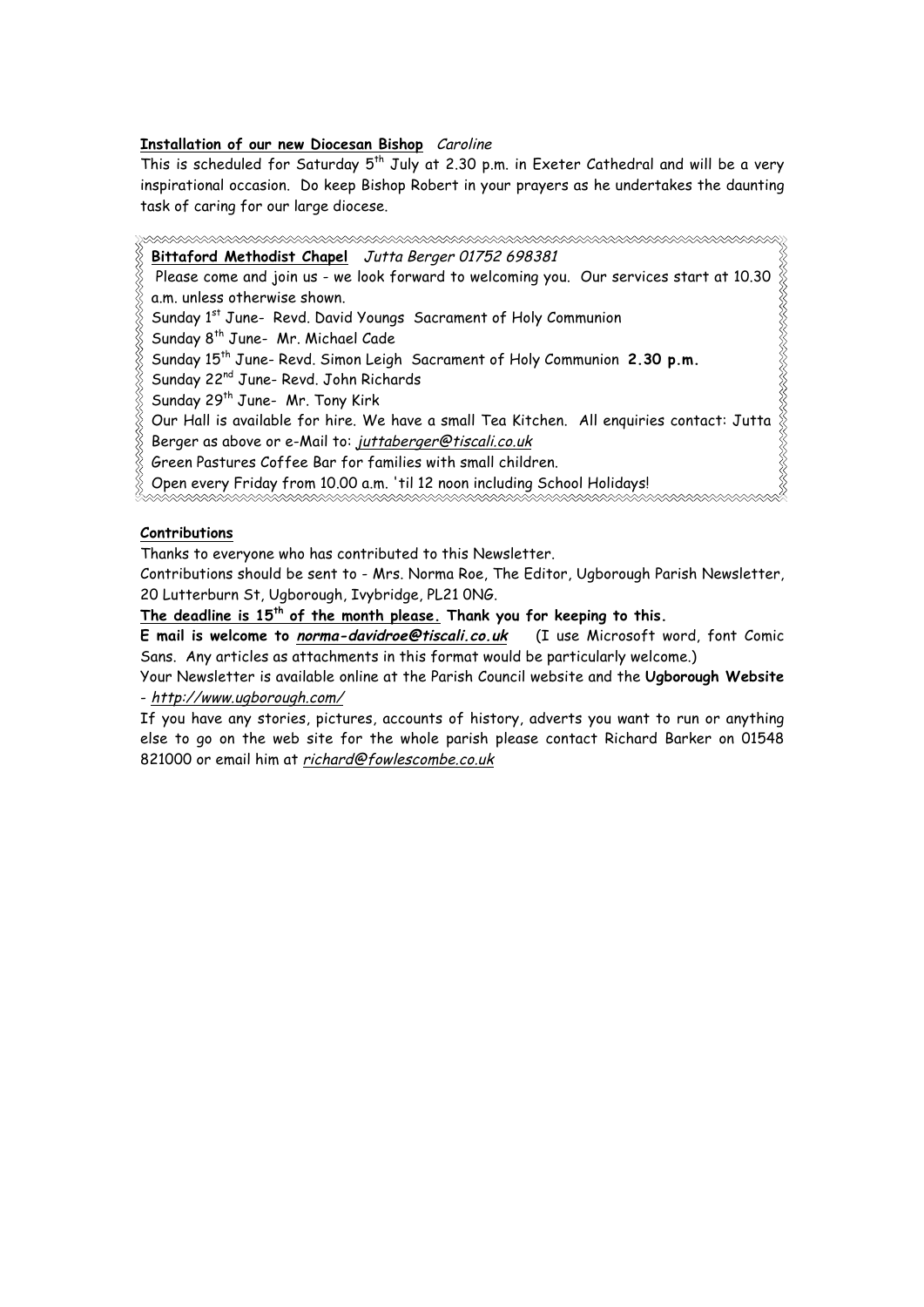# **Installation of our new Diocesan Bishop** Caroline

This is scheduled for Saturday  $5<sup>th</sup>$  July at 2.30 p.m. in Exeter Cathedral and will be a very inspirational occasion. Do keep Bishop Robert in your prayers as he undertakes the daunting task of caring for our large diocese.

**Bittaford Methodist Chapel** Jutta Berger 01752 698381 R Please come and join us - we look forward to welcoming you. Our services start at 10.30 a.m. unless otherwise shown. Sunday 1<sup>st</sup> June- Revd. David Youngs Sacrament of Holy Communion Sunday 8<sup>th</sup> June- Mr. Michael Cade Sunday 15th June- Revd. Simon Leigh Sacrament of Holy Communion **2.30 p.m.** Sunday 22nd June- Revd. John Richards Sunday 29<sup>th</sup> June- Mr. Tony Kirk Our Hall is available for hire. We have a small Tea Kitchen. All enquiries contact: Jutta Berger as above or e-Mail to: juttaberger@tiscali.co.uk Green Pastures Coffee Bar for families with small children.

Open every Friday from 10.00 a.m. 'til 12 noon including School Holidays!

# **Contributions**

Thanks to everyone who has contributed to this Newsletter.

Contributions should be sent to - Mrs. Norma Roe, The Editor, Ugborough Parish Newsletter, 20 Lutterburn St, Ugborough, Ivybridge, PL21 0NG.

**The deadline is 15th of the month please. Thank you for keeping to this.** 

**E mail is welcome to norma-davidroe@tiscali.co.uk** (I use Microsoft word, font Comic Sans. Any articles as attachments in this format would be particularly welcome.)

Your Newsletter is available online at the Parish Council website and the **Ugborough Website** - http://www.ugborough.com/

If you have any stories, pictures, accounts of history, adverts you want to run or anything else to go on the web site for the whole parish please contact Richard Barker on 01548 821000 or email him at richard@fowlescombe.co.uk